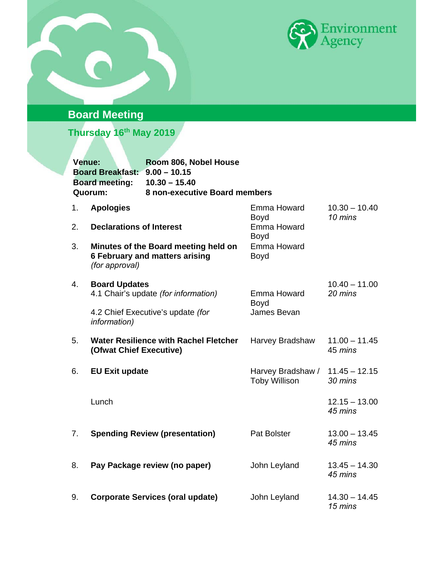



# **Board Meeting**

**Thursday 16th May 2019** 

| Venue: | Board Breakfast: 9.00 - 10.15<br><b>Board meeting:</b><br>Quorum: | Room 806, Nobel House<br>$10.30 - 15.40$<br>8 non-executive Board members     |                                           |                            |
|--------|-------------------------------------------------------------------|-------------------------------------------------------------------------------|-------------------------------------------|----------------------------|
| 1.     | <b>Apologies</b>                                                  |                                                                               | Emma Howard<br>Boyd                       | $10.30 - 10.40$<br>10 mins |
| 2.     | <b>Declarations of Interest</b>                                   |                                                                               | Emma Howard<br>Boyd                       |                            |
| 3.     | (for approval)                                                    | Minutes of the Board meeting held on<br><b>6 February and matters arising</b> | Emma Howard<br>Boyd                       |                            |
| 4.     | <b>Board Updates</b>                                              | 4.1 Chair's update (for information)                                          | Emma Howard                               | $10.40 - 11.00$<br>20 mins |
|        | information)                                                      | 4.2 Chief Executive's update (for                                             | Boyd<br>James Bevan                       |                            |
| 5.     | (Ofwat Chief Executive)                                           | <b>Water Resilience with Rachel Fletcher</b>                                  | Harvey Bradshaw                           | $11.00 - 11.45$<br>45 mins |
| 6.     | <b>EU Exit update</b>                                             |                                                                               | Harvey Bradshaw /<br><b>Toby Willison</b> | $11.45 - 12.15$<br>30 mins |
|        | Lunch                                                             |                                                                               |                                           | $12.15 - 13.00$<br>45 mins |
| 7.     |                                                                   | <b>Spending Review (presentation)</b>                                         | Pat Bolster                               | $13.00 - 13.45$<br>45 mins |
| 8.     |                                                                   | Pay Package review (no paper)                                                 | John Leyland                              | $13.45 - 14.30$<br>45 mins |
| 9.     |                                                                   | <b>Corporate Services (oral update)</b>                                       | John Leyland                              | $14.30 - 14.45$<br>15 mins |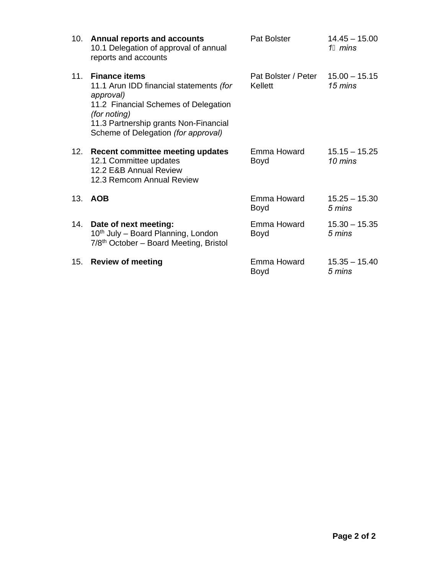|     | 10. Annual reports and accounts<br>10.1 Delegation of approval of annual<br>reports and accounts                                                                                                                     | Pat Bolster                                  | $14.45 - 15.00$<br>11 mins |
|-----|----------------------------------------------------------------------------------------------------------------------------------------------------------------------------------------------------------------------|----------------------------------------------|----------------------------|
| 11. | <b>Finance items</b><br>11.1 Arun IDD financial statements (for<br>approval)<br>11.2 Financial Schemes of Delegation<br>(for noting)<br>11.3 Partnership grants Non-Financial<br>Scheme of Delegation (for approval) | Pat Bolster / Peter 15.00 - 15.15<br>Kellett | 15 mins                    |
|     | 12. Recent committee meeting updates<br>12.1 Committee updates<br>12.2 E&B Annual Review<br>12.3 Remcom Annual Review                                                                                                | Emma Howard<br><b>Boyd</b>                   | $15.15 - 15.25$<br>10 mins |
|     | 13. AOB                                                                                                                                                                                                              | Emma Howard<br>Boyd                          | $15.25 - 15.30$<br>5 mins  |
| 14. | Date of next meeting:<br>10 <sup>th</sup> July – Board Planning, London<br>7/8 <sup>th</sup> October – Board Meeting, Bristol                                                                                        | Emma Howard<br><b>Boyd</b>                   | $15.30 - 15.35$<br>5 mins  |
| 15. | <b>Review of meeting</b>                                                                                                                                                                                             | Emma Howard<br>Boyd                          | $15.35 - 15.40$<br>5 mins  |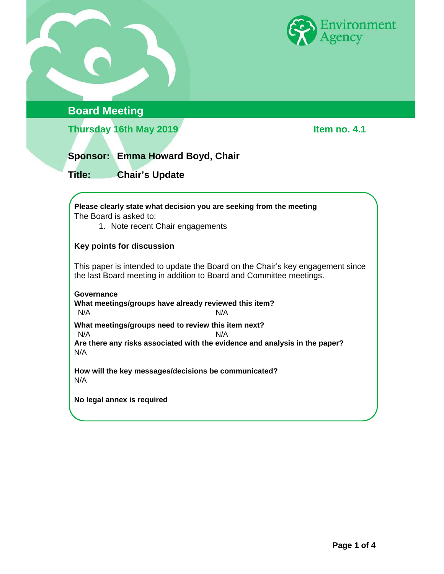



# **Board Meeting**

**Thursday 16th May 2019 Item no. 4.1** 

# **Sponsor: Emma Howard Boyd, Chair**

**Title: Chair's Update** 

**Please clearly state what decision you are seeking from the meeting**  The Board is asked to:

1. Note recent Chair engagements

#### **Key points for discussion**

This paper is intended to update the Board on the Chair's key engagement since the last Board meeting in addition to Board and Committee meetings.

**Governance What meetings/groups have already reviewed this item?**  N/A N/A **What meetings/groups need to review this item next?**  N/A N/A **Are there any risks associated with the evidence and analysis in the paper?**  N/A

**How will the key messages/decisions be communicated?**  N/A

**No legal annex is required**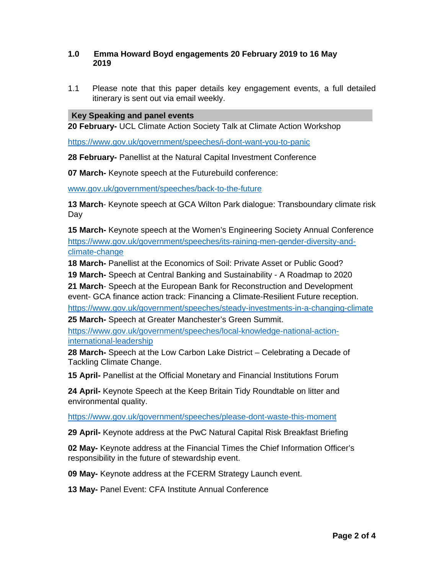#### **1.0 Emma Howard Boyd engagements 20 February 2019 to 16 May 2019**

1.1 Please note that this paper details key engagement events, a full detailed itinerary is sent out via email weekly.

#### **Key Speaking and panel events**

**20 February-** UCL Climate Action Society Talk at Climate Action Workshop

https://www.gov.uk/government/speeches/i-dont-want-you-to-panic

**28 February-** Panellist at the Natural Capital Investment Conference

**07 March-** Keynote speech at the Futurebuild conference:

www.gov.uk/government/speeches/back-to-the-future

**13 March**- Keynote speech at GCA Wilton Park dialogue: Transboundary climate risk Day

**15 March-** Keynote speech at the Women's Engineering Society Annual Conference https://www.gov.uk/government/speeches/its-raining-men-gender-diversity-andclimate-change

**18 March-** Panellist at the Economics of Soil: Private Asset or Public Good?

**19 March-** Speech at Central Banking and Sustainability - A Roadmap to 2020

**21 March**- Speech at the European Bank for Reconstruction and Development event- GCA finance action track: Financing a Climate-Resilient Future reception. https://www.gov.uk/government/speeches/steady-investments-in-a-changing-climate

**25 March-** Speech at Greater Manchester's Green Summit.

https://www.gov.uk/government/speeches/local-knowledge-national-actioninternational-leadership

**28 March-** Speech at the Low Carbon Lake District – Celebrating a Decade of Tackling Climate Change.

**15 April-** Panellist at the Official Monetary and Financial Institutions Forum

**24 April-** Keynote Speech at the Keep Britain Tidy Roundtable on litter and environmental quality.

https://www.gov.uk/government/speeches/please-dont-waste-this-moment

**29 April-** Keynote address at the PwC Natural Capital Risk Breakfast Briefing

**02 May-** Keynote address at the Financial Times the Chief Information Officer's responsibility in the future of stewardship event.

**09 May-** Keynote address at the FCERM Strategy Launch event.

**13 May-** Panel Event: CFA Institute Annual Conference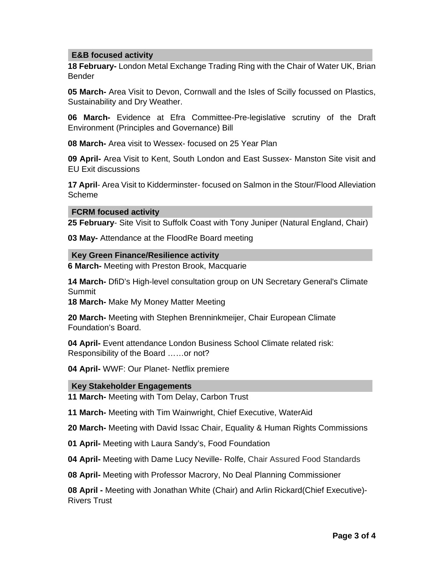#### **E&B focused activity**

**18 February-** London Metal Exchange Trading Ring with the Chair of Water UK, Brian Bender

**05 March-** Area Visit to Devon, Cornwall and the Isles of Scilly focussed on Plastics, Sustainability and Dry Weather.

**06 March-** Evidence at Efra Committee-Pre-legislative scrutiny of the Draft Environment (Principles and Governance) Bill

**08 March-** Area visit to Wessex- focused on 25 Year Plan

**09 April-** Area Visit to Kent, South London and East Sussex- Manston Site visit and EU Exit discussions

**17 April**- Area Visit to Kidderminster- focused on Salmon in the Stour/Flood Alleviation Scheme

#### **FCRM focused activity**

**25 February**- Site Visit to Suffolk Coast with Tony Juniper (Natural England, Chair)

**03 May-** Attendance at the FloodRe Board meeting

**Key Green Finance/Resilience activity** 

**6 March-** Meeting with Preston Brook, Macquarie

**14 March-** DfiD's High-level consultation group on UN Secretary General's Climate Summit

**18 March-** Make My Money Matter Meeting

**20 March-** Meeting with Stephen Brenninkmeijer, Chair European Climate Foundation's Board.

**04 April-** Event attendance London Business School Climate related risk: Responsibility of the Board ……or not?

**04 April-** WWF: Our Planet- Netflix premiere

#### **Key Stakeholder Engagements**

**11 March-** Meeting with Tom Delay, Carbon Trust

**11 March-** Meeting with Tim Wainwright, Chief Executive, WaterAid

**20 March-** Meeting with David Issac Chair, Equality & Human Rights Commissions

**01 April-** Meeting with Laura Sandy's, Food Foundation

**04 April-** Meeting with Dame Lucy Neville- Rolfe, Chair Assured Food Standards

**08 April-** Meeting with Professor Macrory, No Deal Planning Commissioner

**08 April -** Meeting with Jonathan White (Chair) and Arlin Rickard(Chief Executive)- Rivers Trust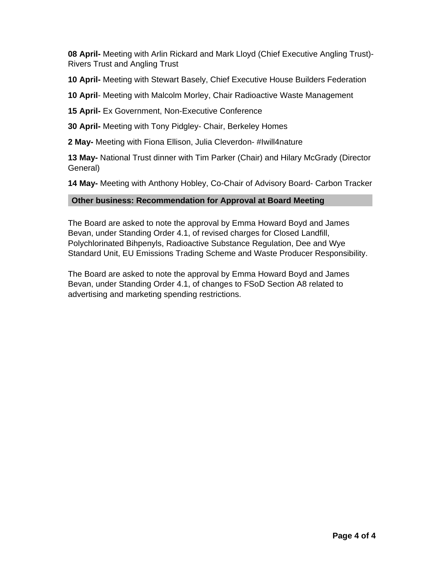**08 April-** Meeting with Arlin Rickard and Mark Lloyd (Chief Executive Angling Trust)- Rivers Trust and Angling Trust

**10 April-** Meeting with Stewart Basely, Chief Executive House Builders Federation

**10 April**- Meeting with Malcolm Morley, Chair Radioactive Waste Management

**15 April-** Ex Government, Non-Executive Conference

**30 April-** Meeting with Tony Pidgley- Chair, Berkeley Homes

**2 May-** Meeting with Fiona Ellison, Julia Cleverdon- #Iwill4nature

**13 May-** National Trust dinner with Tim Parker (Chair) and Hilary McGrady (Director General)

**14 May-** Meeting with Anthony Hobley, Co-Chair of Advisory Board- Carbon Tracker

#### **Other business: Recommendation for Approval at Board Meeting**

The Board are asked to note the approval by Emma Howard Boyd and James Bevan, under Standing Order 4.1, of revised charges for Closed Landfill, Polychlorinated Bihpenyls, Radioactive Substance Regulation, Dee and Wye Standard Unit, EU Emissions Trading Scheme and Waste Producer Responsibility.

The Board are asked to note the approval by Emma Howard Boyd and James Bevan, under Standing Order 4.1, of changes to FSoD Section A8 related to advertising and marketing spending restrictions.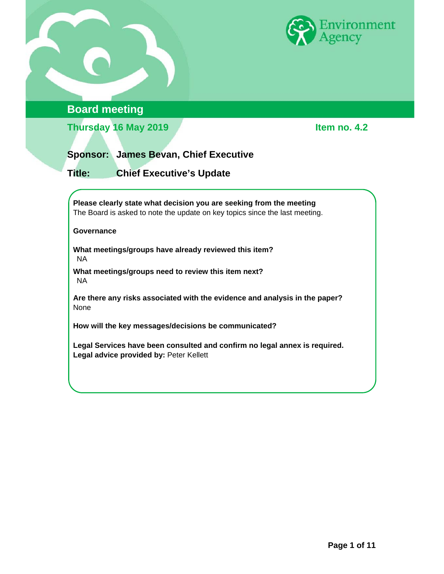

# **Board meeting**

**Thursday 16 May 2019 Item no. 4.2** 

### **Sponsor: James Bevan, Chief Executive**

**Title: Chief Executive's Update** 

**Please clearly state what decision you are seeking from the meeting**  The Board is asked to note the update on key topics since the last meeting.

#### **Governance**

**What meetings/groups have already reviewed this item?**  NA

**What meetings/groups need to review this item next?**  NA

**Are there any risks associated with the evidence and analysis in the paper?**  None

**How will the key messages/decisions be communicated?** 

**Legal Services have been consulted and confirm no legal annex is required.**  Legal advice provided by: Peter Kellett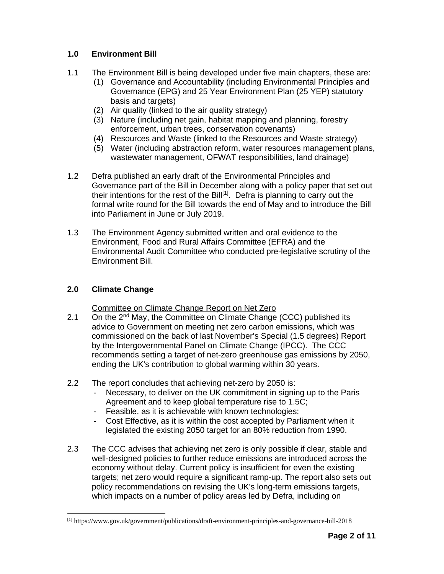#### **1.0 Environment Bill**

- 1.1 The Environment Bill is being developed under five main chapters, these are:
	- (1) Governance and Accountability (including Environmental Principles and Governance (EPG) and 25 Year Environment Plan (25 YEP) statutory basis and targets)
	- (2) Air quality (linked to the air quality strategy)
	- (3) Nature (including net gain, habitat mapping and planning, forestry enforcement, urban trees, conservation covenants)
	- (4) Resources and Waste (linked to the Resources and Waste strategy)
	- (5) Water (including abstraction reform, water resources management plans, wastewater management, OFWAT responsibilities, land drainage)
- 1.2 Defra published an early draft of the Environmental Principles and Governance part of the Bill in December along with a policy paper that set out their intentions for the rest of the  $\text{Bill}^{[1]}$ . Defra is planning to carry out the formal write round for the Bill towards the end of May and to introduce the Bill into Parliament in June or July 2019.
- 1.3 The Environment Agency submitted written and oral evidence to the Environment, Food and Rural Affairs Committee (EFRA) and the Environmental Audit Committee who conducted pre-legislative scrutiny of the Environment Bill.

### **2.0 Climate Change**

 $\overline{a}$ 

#### Committee on Climate Change Report on Net Zero

- 2.1 On the 2<sup>nd</sup> May, the Committee on Climate Change (CCC) published its advice to Government on meeting net zero carbon emissions, which was commissioned on the back of last November's Special (1.5 degrees) Report by the Intergovernmental Panel on Climate Change (IPCC). The CCC recommends setting a target of net-zero greenhouse gas emissions by 2050, ending the UK's contribution to global warming within 30 years.
- 2.2 The report concludes that achieving net-zero by 2050 is:
	- Necessary, to deliver on the UK commitment in signing up to the Paris Agreement and to keep global temperature rise to 1.5C;
	- Feasible, as it is achievable with known technologies;
	- Cost Effective, as it is within the cost accepted by Parliament when it legislated the existing 2050 target for an 80% reduction from 1990.
- 2.3 The CCC advises that achieving net zero is only possible if clear, stable and well-designed policies to further reduce emissions are introduced across the economy without delay. Current policy is insufficient for even the existing targets; net zero would require a significant ramp-up. The report also sets out policy recommendations on revising the UK's long-term emissions targets, which impacts on a number of policy areas led by Defra, including on

<sup>[1]</sup> https://www.gov.uk/government/publications/draft-environment-principles-and-governance-bill-2018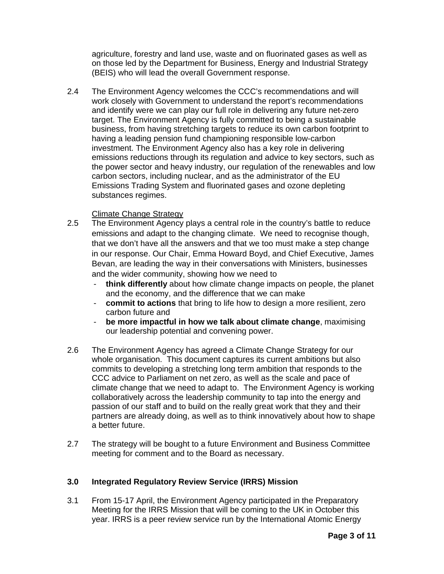agriculture, forestry and land use, waste and on fluorinated gases as well as on those led by the Department for Business, Energy and Industrial Strategy (BEIS) who will lead the overall Government response.

2.4 The Environment Agency welcomes the CCC's recommendations and will work closely with Government to understand the report's recommendations and identify were we can play our full role in delivering any future net-zero target. The Environment Agency is fully committed to being a sustainable business, from having stretching targets to reduce its own carbon footprint to having a leading pension fund championing responsible low-carbon investment. The Environment Agency also has a key role in delivering emissions reductions through its regulation and advice to key sectors, such as the power sector and heavy industry, our regulation of the renewables and low carbon sectors, including nuclear, and as the administrator of the EU Emissions Trading System and fluorinated gases and ozone depleting substances regimes.

#### Climate Change Strategy

- 2.5 The Environment Agency plays a central role in the country's battle to reduce emissions and adapt to the changing climate. We need to recognise though, that we don't have all the answers and that we too must make a step change in our response. Our Chair, Emma Howard Boyd, and Chief Executive, James Bevan, are leading the way in their conversations with Ministers, businesses and the wider community, showing how we need to
	- **think differently** about how climate change impacts on people, the planet and the economy, and the difference that we can make
	- **commit to actions** that bring to life how to design a more resilient, zero carbon future and
	- be more impactful in how we talk about climate change, maximising our leadership potential and convening power.
- 2.6 The Environment Agency has agreed a Climate Change Strategy for our whole organisation. This document captures its current ambitions but also commits to developing a stretching long term ambition that responds to the CCC advice to Parliament on net zero, as well as the scale and pace of climate change that we need to adapt to. The Environment Agency is working collaboratively across the leadership community to tap into the energy and passion of our staff and to build on the really great work that they and their partners are already doing, as well as to think innovatively about how to shape a better future.
- 2.7 The strategy will be bought to a future Environment and Business Committee meeting for comment and to the Board as necessary.

#### **3.0 Integrated Regulatory Review Service (IRRS) Mission**

3.1 From 15-17 April, the Environment Agency participated in the Preparatory Meeting for the IRRS Mission that will be coming to the UK in October this year. IRRS is a peer review service run by the International Atomic Energy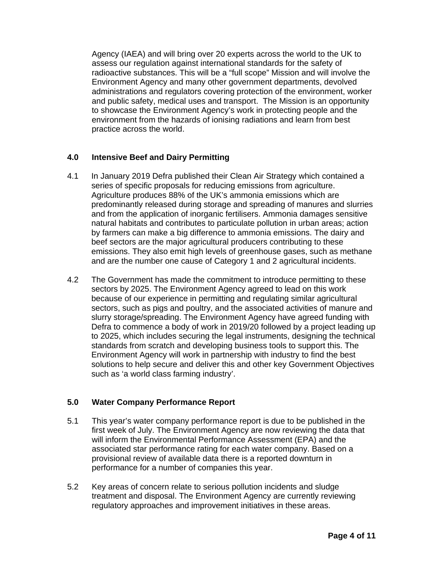Agency (IAEA) and will bring over 20 experts across the world to the UK to assess our regulation against international standards for the safety of radioactive substances. This will be a "full scope" Mission and will involve the Environment Agency and many other government departments, devolved administrations and regulators covering protection of the environment, worker and public safety, medical uses and transport. The Mission is an opportunity to showcase the Environment Agency's work in protecting people and the environment from the hazards of ionising radiations and learn from best practice across the world.

#### **4.0 Intensive Beef and Dairy Permitting**

- 4.1 In January 2019 Defra published their Clean Air Strategy which contained a series of specific proposals for reducing emissions from agriculture. Agriculture produces 88% of the UK's ammonia emissions which are predominantly released during storage and spreading of manures and slurries and from the application of inorganic fertilisers. Ammonia damages sensitive natural habitats and contributes to particulate pollution in urban areas; action by farmers can make a big difference to ammonia emissions. The dairy and beef sectors are the major agricultural producers contributing to these emissions. They also emit high levels of greenhouse gases, such as methane and are the number one cause of Category 1 and 2 agricultural incidents.
- 4.2 The Government has made the commitment to introduce permitting to these sectors by 2025. The Environment Agency agreed to lead on this work because of our experience in permitting and regulating similar agricultural sectors, such as pigs and poultry, and the associated activities of manure and slurry storage/spreading. The Environment Agency have agreed funding with Defra to commence a body of work in 2019/20 followed by a project leading up to 2025, which includes securing the legal instruments, designing the technical standards from scratch and developing business tools to support this. The Environment Agency will work in partnership with industry to find the best solutions to help secure and deliver this and other key Government Objectives such as 'a world class farming industry'.

#### **5.0 Water Company Performance Report**

- 5.1 This year's water company performance report is due to be published in the first week of July. The Environment Agency are now reviewing the data that will inform the Environmental Performance Assessment (EPA) and the associated star performance rating for each water company. Based on a provisional review of available data there is a reported downturn in performance for a number of companies this year.
- 5.2 Key areas of concern relate to serious pollution incidents and sludge treatment and disposal. The Environment Agency are currently reviewing regulatory approaches and improvement initiatives in these areas.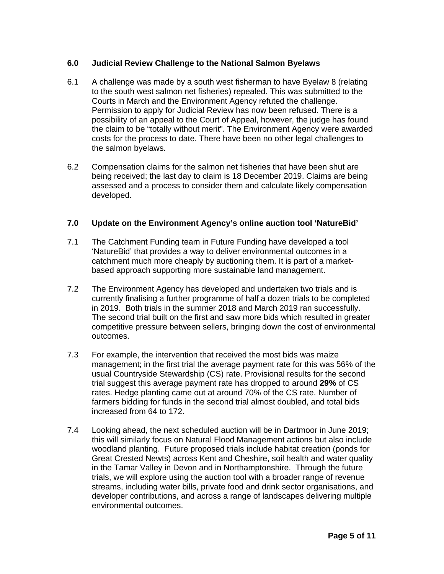#### **6.0 Judicial Review Challenge to the National Salmon Byelaws**

- 6.1 A challenge was made by a south west fisherman to have Byelaw 8 (relating to the south west salmon net fisheries) repealed. This was submitted to the Courts in March and the Environment Agency refuted the challenge. Permission to apply for Judicial Review has now been refused. There is a possibility of an appeal to the Court of Appeal, however, the judge has found the claim to be "totally without merit". The Environment Agency were awarded costs for the process to date. There have been no other legal challenges to the salmon byelaws.
- 6.2 Compensation claims for the salmon net fisheries that have been shut are being received; the last day to claim is 18 December 2019. Claims are being assessed and a process to consider them and calculate likely compensation developed.

#### **7.0 Update on the Environment Agency's online auction tool 'NatureBid'**

- 7.1 The Catchment Funding team in Future Funding have developed a tool 'NatureBid' that provides a way to deliver environmental outcomes in a catchment much more cheaply by auctioning them. It is part of a marketbased approach supporting more sustainable land management.
- 7.2 The Environment Agency has developed and undertaken two trials and is currently finalising a further programme of half a dozen trials to be completed in 2019. Both trials in the summer 2018 and March 2019 ran successfully. The second trial built on the first and saw more bids which resulted in greater competitive pressure between sellers, bringing down the cost of environmental outcomes.
- 7.3 For example, the intervention that received the most bids was maize management; in the first trial the average payment rate for this was 56% of the usual Countryside Stewardship (CS) rate. Provisional results for the second trial suggest this average payment rate has dropped to around **29%** of CS rates. Hedge planting came out at around 70% of the CS rate. Number of farmers bidding for funds in the second trial almost doubled, and total bids increased from 64 to 172.
- 7.4 Looking ahead, the next scheduled auction will be in Dartmoor in June 2019; this will similarly focus on Natural Flood Management actions but also include woodland planting. Future proposed trials include habitat creation (ponds for Great Crested Newts) across Kent and Cheshire, soil health and water quality in the Tamar Valley in Devon and in Northamptonshire. Through the future trials, we will explore using the auction tool with a broader range of revenue streams, including water bills, private food and drink sector organisations, and developer contributions, and across a range of landscapes delivering multiple environmental outcomes.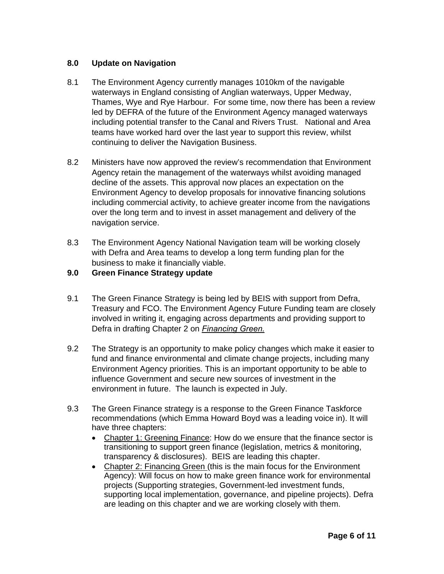#### **8.0 Update on Navigation**

- 8.1 The Environment Agency currently manages 1010km of the navigable waterways in England consisting of Anglian waterways, Upper Medway, Thames, Wye and Rye Harbour. For some time, now there has been a review led by DEFRA of the future of the Environment Agency managed waterways including potential transfer to the Canal and Rivers Trust. National and Area teams have worked hard over the last year to support this review, whilst continuing to deliver the Navigation Business.
- 8.2 Ministers have now approved the review's recommendation that Environment Agency retain the management of the waterways whilst avoiding managed decline of the assets. This approval now places an expectation on the Environment Agency to develop proposals for innovative financing solutions including commercial activity, to achieve greater income from the navigations over the long term and to invest in asset management and delivery of the navigation service.
- 8.3 The Environment Agency National Navigation team will be working closely with Defra and Area teams to develop a long term funding plan for the business to make it financially viable.
- **9.0 Green Finance Strategy update**
- 9.1 The Green Finance Strategy is being led by BEIS with support from Defra, Treasury and FCO. The Environment Agency Future Funding team are closely involved in writing it, engaging across departments and providing support to Defra in drafting Chapter 2 on *Financing Green.*
- 9.2 The Strategy is an opportunity to make policy changes which make it easier to fund and finance environmental and climate change projects, including many Environment Agency priorities. This is an important opportunity to be able to influence Government and secure new sources of investment in the environment in future. The launch is expected in July.
- 9.3 The Green Finance strategy is a response to the Green Finance Taskforce recommendations (which Emma Howard Boyd was a leading voice in). It will have three chapters:
	- Chapter 1: Greening Finance: How do we ensure that the finance sector is transitioning to support green finance (legislation, metrics & monitoring, transparency & disclosures). BEIS are leading this chapter.
	- Chapter 2: Financing Green (this is the main focus for the Environment Agency): Will focus on how to make green finance work for environmental projects (Supporting strategies, Government-led investment funds, supporting local implementation, governance, and pipeline projects). Defra are leading on this chapter and we are working closely with them.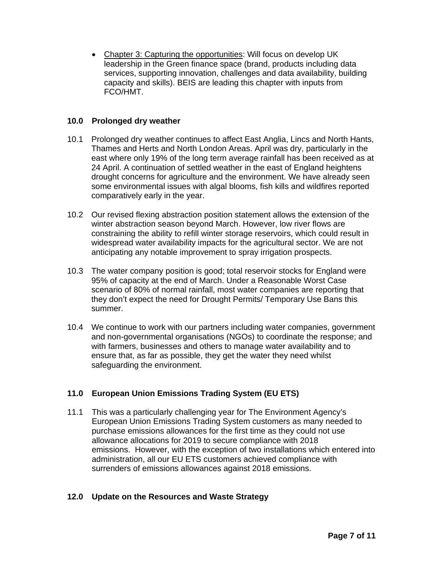Chapter 3: Capturing the opportunities: Will focus on develop UK leadership in the Green finance space (brand, products including data services, supporting innovation, challenges and data availability, building capacity and skills). BEIS are leading this chapter with inputs from FCO/HMT.

#### **10.0 Prolonged dry weather**

- 10.1 Prolonged dry weather continues to affect East Anglia, Lincs and North Hants, Thames and Herts and North London Areas. April was dry, particularly in the east where only 19% of the long term average rainfall has been received as at 24 April. A continuation of settled weather in the east of England heightens drought concerns for agriculture and the environment. We have already seen some environmental issues with algal blooms, fish kills and wildfires reported comparatively early in the year.
- 10.2 Our revised flexing abstraction position statement allows the extension of the winter abstraction season beyond March. However, low river flows are constraining the ability to refill winter storage reservoirs, which could result in widespread water availability impacts for the agricultural sector. We are not anticipating any notable improvement to spray irrigation prospects.
- 10.3 The water company position is good; total reservoir stocks for England were 95% of capacity at the end of March. Under a Reasonable Worst Case scenario of 80% of normal rainfall, most water companies are reporting that they don't expect the need for Drought Permits/ Temporary Use Bans this summer.
- 10.4 We continue to work with our partners including water companies, government and non-governmental organisations (NGOs) to coordinate the response; and with farmers, businesses and others to manage water availability and to ensure that, as far as possible, they get the water they need whilst safeguarding the environment.

#### **11.0 European Union Emissions Trading System (EU ETS)**

11.1 This was a particularly challenging year for The Environment Agency's European Union Emissions Trading System customers as many needed to purchase emissions allowances for the first time as they could not use allowance allocations for 2019 to secure compliance with 2018 emissions. However, with the exception of two installations which entered into administration, all our EU ETS customers achieved compliance with surrenders of emissions allowances against 2018 emissions.

#### **12.0 Update on the Resources and Waste Strategy**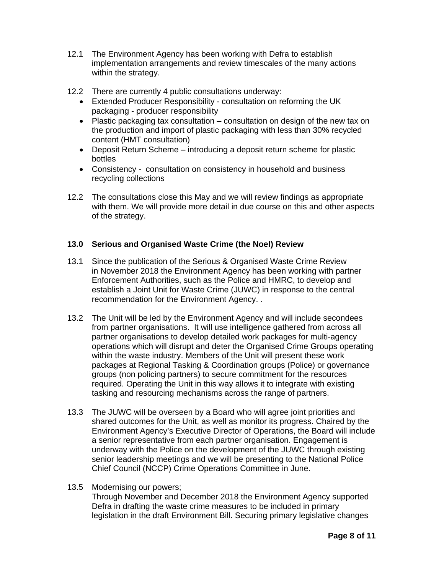- 12.1 The Environment Agency has been working with Defra to establish implementation arrangements and review timescales of the many actions within the strategy.
- 12.2 There are currently 4 public consultations underway:
	- Extended Producer Responsibility consultation on reforming the UK packaging - producer responsibility
	- Plastic packaging tax consultation consultation on design of the new tax on the production and import of plastic packaging with less than 30% recycled content (HMT consultation)
	- Deposit Return Scheme introducing a deposit return scheme for plastic bottles
	- Consistency consultation on consistency in household and business recycling collections
- 12.2 The consultations close this May and we will review findings as appropriate with them. We will provide more detail in due course on this and other aspects of the strategy.

#### **13.0 Serious and Organised Waste Crime (the Noel) Review**

- 13.1 Since the publication of the Serious & Organised Waste Crime Review in November 2018 the Environment Agency has been working with partner Enforcement Authorities, such as the Police and HMRC, to develop and establish a Joint Unit for Waste Crime (JUWC) in response to the central recommendation for the Environment Agency. .
- 13.2 The Unit will be led by the Environment Agency and will include secondees from partner organisations. It will use intelligence gathered from across all partner organisations to develop detailed work packages for multi-agency operations which will disrupt and deter the Organised Crime Groups operating within the waste industry. Members of the Unit will present these work packages at Regional Tasking & Coordination groups (Police) or governance groups (non policing partners) to secure commitment for the resources required. Operating the Unit in this way allows it to integrate with existing tasking and resourcing mechanisms across the range of partners.
- 13.3 The JUWC will be overseen by a Board who will agree joint priorities and shared outcomes for the Unit, as well as monitor its progress. Chaired by the Environment Agency's Executive Director of Operations, the Board will include a senior representative from each partner organisation. Engagement is underway with the Police on the development of the JUWC through existing senior leadership meetings and we will be presenting to the National Police Chief Council (NCCP) Crime Operations Committee in June.
- 13.5 Modernising our powers; Through November and December 2018 the Environment Agency supported Defra in drafting the waste crime measures to be included in primary legislation in the draft Environment Bill. Securing primary legislative changes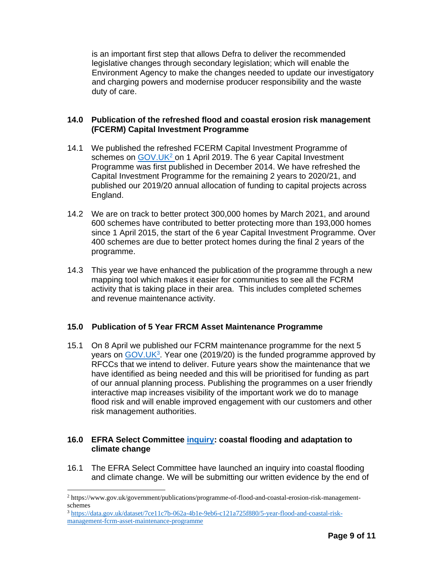is an important first step that allows Defra to deliver the recommended legislative changes through secondary legislation; which will enable the Environment Agency to make the changes needed to update our investigatory and charging powers and modernise producer responsibility and the waste duty of care.

#### **14.0 Publication of the refreshed flood and coastal erosion risk management (FCERM) Capital Investment Programme**

- 14.1 We published the refreshed FCERM Capital Investment Programme of schemes on GOV.UK<sup>2</sup> on 1 April 2019. The 6 year Capital Investment Programme was first published in December 2014. We have refreshed the Capital Investment Programme for the remaining 2 years to 2020/21, and published our 2019/20 annual allocation of funding to capital projects across England.
- 14.2 We are on track to better protect 300,000 homes by March 2021, and around 600 schemes have contributed to better protecting more than 193,000 homes since 1 April 2015, the start of the 6 year Capital Investment Programme. Over 400 schemes are due to better protect homes during the final 2 years of the programme.
- 14.3 This year we have enhanced the publication of the programme through a new mapping tool which makes it easier for communities to see all the FCRM activity that is taking place in their area. This includes completed schemes and revenue maintenance activity.

#### **15.0 Publication of 5 Year FRCM Asset Maintenance Programme**

15.1 On 8 April we published our FCRM maintenance programme for the next 5 years on GOV.UK<sup>3</sup>. Year one (2019/20) is the funded programme approved by RFCCs that we intend to deliver. Future years show the maintenance that we have identified as being needed and this will be prioritised for funding as part of our annual planning process. Publishing the programmes on a user friendly interactive map increases visibility of the important work we do to manage flood risk and will enable improved engagement with our customers and other risk management authorities.

#### **16.0 EFRA Select Committee inquiry: coastal flooding and adaptation to climate change**

16.1 The EFRA Select Committee have launched an inquiry into coastal flooding and climate change. We will be submitting our written evidence by the end of

 $\overline{a}$ 

<sup>2</sup> https://www.gov.uk/government/publications/programme-of-flood-and-coastal-erosion-risk-managementschemes

<sup>3</sup> https://data.gov.uk/dataset/7ce11c7b-062a-4b1e-9eb6-c121a725f880/5-year-flood-and-coastal-riskmanagement-fcrm-asset-maintenance-programme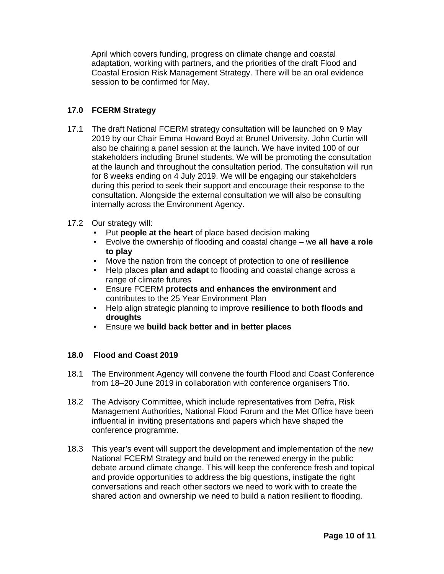April which covers funding, progress on climate change and coastal adaptation, working with partners, and the priorities of the draft Flood and Coastal Erosion Risk Management Strategy. There will be an oral evidence session to be confirmed for May.

#### **17.0 FCERM Strategy**

- 17.1 The draft National FCERM strategy consultation will be launched on 9 May 2019 by our Chair Emma Howard Boyd at Brunel University. John Curtin will also be chairing a panel session at the launch. We have invited 100 of our stakeholders including Brunel students. We will be promoting the consultation at the launch and throughout the consultation period. The consultation will run for 8 weeks ending on 4 July 2019. We will be engaging our stakeholders during this period to seek their support and encourage their response to the consultation. Alongside the external consultation we will also be consulting internally across the Environment Agency.
- 17.2 Our strategy will:
	- Put **people at the heart** of place based decision making
	- Evolve the ownership of flooding and coastal change we **all have a role to play**
	- Move the nation from the concept of protection to one of **resilience**
	- Help places **plan and adapt** to flooding and coastal change across a range of climate futures
	- Ensure FCERM **protects and enhances the environment** and contributes to the 25 Year Environment Plan
	- Help align strategic planning to improve **resilience to both floods and droughts**
	- Ensure we **build back better and in better places**

#### **18.0 Flood and Coast 2019**

- 18.1 The Environment Agency will convene the fourth Flood and Coast Conference from 18–20 June 2019 in collaboration with conference organisers Trio.
- 18.2 The Advisory Committee, which include representatives from Defra, Risk Management Authorities, National Flood Forum and the Met Office have been influential in inviting presentations and papers which have shaped the conference programme.
- 18.3 This year's event will support the development and implementation of the new National FCERM Strategy and build on the renewed energy in the public debate around climate change. This will keep the conference fresh and topical and provide opportunities to address the big questions, instigate the right conversations and reach other sectors we need to work with to create the shared action and ownership we need to build a nation resilient to flooding.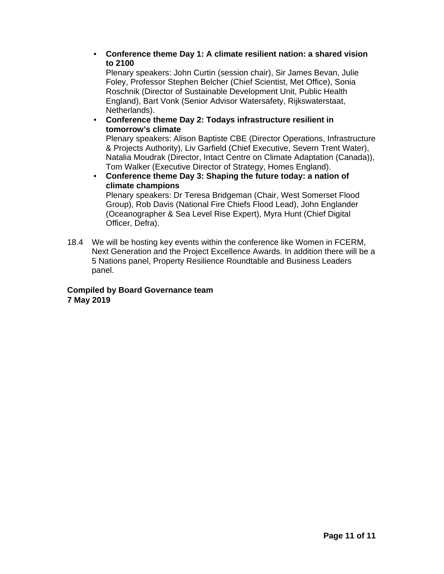#### • **Conference theme Day 1: A climate resilient nation: a shared vision to 2100**

Plenary speakers: John Curtin (session chair), Sir James Bevan, Julie Foley, Professor Stephen Belcher (Chief Scientist, Met Office), Sonia Roschnik (Director of Sustainable Development Unit, Public Health England), Bart Vonk (Senior Advisor Watersafety, Rijkswaterstaat, Netherlands).

#### • **Conference theme Day 2: Todays infrastructure resilient in tomorrow's climate**

Plenary speakers: Alison Baptiste CBE (Director Operations, Infrastructure & Projects Authority), Liv Garfield (Chief Executive, Severn Trent Water), Natalia Moudrak (Director, Intact Centre on Climate Adaptation (Canada)), Tom Walker (Executive Director of Strategy, Homes England).

#### • **Conference theme Day 3: Shaping the future today: a nation of climate champions**

Plenary speakers: Dr Teresa Bridgeman (Chair, West Somerset Flood Group), Rob Davis (National Fire Chiefs Flood Lead), John Englander (Oceanographer & Sea Level Rise Expert), Myra Hunt (Chief Digital Officer, Defra).

18.4 We will be hosting key events within the conference like Women in FCERM, Next Generation and the Project Excellence Awards. In addition there will be a 5 Nations panel, Property Resilience Roundtable and Business Leaders panel.

#### **Compiled by Board Governance team 7 May 2019**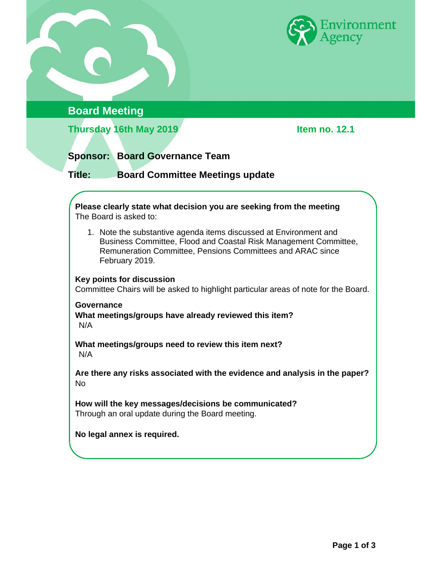

### **Board Meeting**

**Thursday 16th May 2019 Item no. 12.1** 

### **Sponsor: Board Governance Team**

**Title: Board Committee Meetings update** 

**Please clearly state what decision you are seeking from the meeting**  The Board is asked to:

1. Note the substantive agenda items discussed at Environment and Business Committee, Flood and Coastal Risk Management Committee, Remuneration Committee, Pensions Committees and ARAC since February 2019.

#### **Key points for discussion**

Committee Chairs will be asked to highlight particular areas of note for the Board.

#### **Governance What meetings/groups have already reviewed this item?**  N/A

**What meetings/groups need to review this item next?**  N/A

**Are there any risks associated with the evidence and analysis in the paper?**  No

**How will the key messages/decisions be communicated?**  Through an oral update during the Board meeting.

**No legal annex is required.**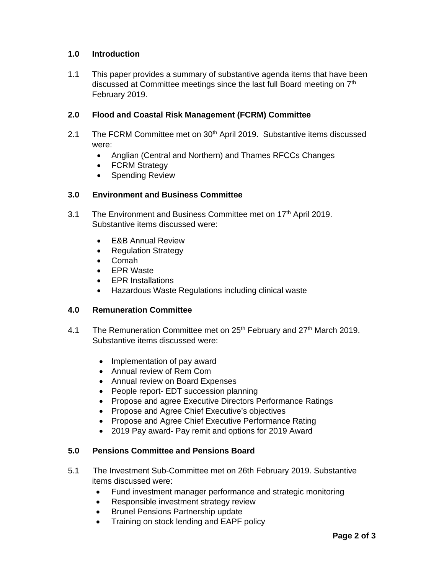#### **1.0 Introduction**

1.1 This paper provides a summary of substantive agenda items that have been discussed at Committee meetings since the last full Board meeting on 7th February 2019.

#### **2.0 Flood and Coastal Risk Management (FCRM) Committee**

- 2.1 The FCRM Committee met on 30<sup>th</sup> April 2019. Substantive items discussed were:
	- Anglian (Central and Northern) and Thames RFCCs Changes
	- FCRM Strategy
	- Spending Review

#### **3.0 Environment and Business Committee**

- 3.1 The Environment and Business Committee met on 17<sup>th</sup> April 2019. Substantive items discussed were:
	- E&B Annual Review
	- Regulation Strategy
	- Comah
	- EPR Waste
	- EPR Installations
	- Hazardous Waste Regulations including clinical waste

#### **4.0 Remuneration Committee**

- 4.1 The Remuneration Committee met on 25<sup>th</sup> February and 27<sup>th</sup> March 2019. Substantive items discussed were:
	- Implementation of pay award
	- Annual review of Rem Com
	- Annual review on Board Expenses
	- People report- EDT succession planning
	- Propose and agree Executive Directors Performance Ratings
	- Propose and Agree Chief Executive's objectives
	- Propose and Agree Chief Executive Performance Rating
	- 2019 Pay award- Pay remit and options for 2019 Award

#### **5.0 Pensions Committee and Pensions Board**

- 5.1 The Investment Sub-Committee met on 26th February 2019. Substantive items discussed were:
	- Fund investment manager performance and strategic monitoring
	- Responsible investment strategy review
	- Brunel Pensions Partnership update
	- Training on stock lending and EAPF policy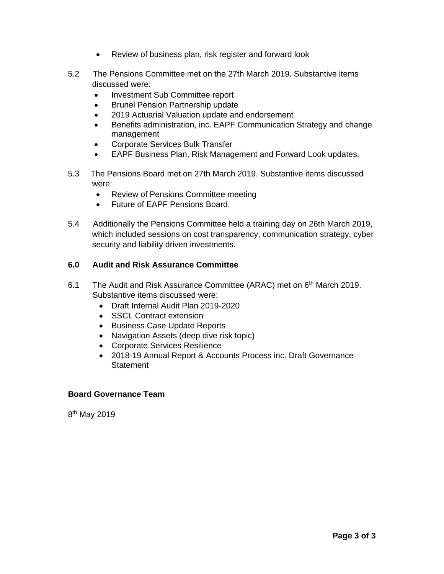- Review of business plan, risk register and forward look
- 5.2 The Pensions Committee met on the 27th March 2019. Substantive items discussed were:
	- Investment Sub Committee report
	- Brunel Pension Partnership update
	- 2019 Actuarial Valuation update and endorsement
	- Benefits administration, inc. EAPF Communication Strategy and change management
	- Corporate Services Bulk Transfer
	- EAPF Business Plan, Risk Management and Forward Look updates.
- 5.3 The Pensions Board met on 27th March 2019. Substantive items discussed were:
	- Review of Pensions Committee meeting
	- Future of EAPF Pensions Board.
- 5.4 Additionally the Pensions Committee held a training day on 26th March 2019, which included sessions on cost transparency, communication strategy, cyber security and liability driven investments.

#### **6.0 Audit and Risk Assurance Committee**

- 6.1 The Audit and Risk Assurance Committee (ARAC) met on 6<sup>th</sup> March 2019. Substantive items discussed were:
	- Draft Internal Audit Plan 2019-2020
	- **SSCL Contract extension**
	- Business Case Update Reports
	- Navigation Assets (deep dive risk topic)
	- Corporate Services Resilience
	- 2018-19 Annual Report & Accounts Process inc. Draft Governance **Statement**

#### **Board Governance Team**

8th May 2019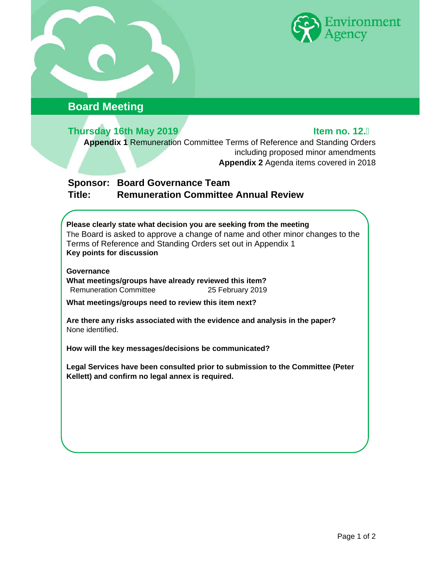

# **Board Meeting**

# **Thursday 16th May 2019 Item no. 12.**

**Appendix 1** Remuneration Committee Terms of Reference and Standing Orders including proposed minor amendments **Appendix 2** Agenda items covered in 2018

### **Sponsor: Board Governance Team Title: Remuneration Committee Annual Review**

#### **Please clearly state what decision you are seeking from the meeting**  The Board is asked to approve a change of name and other minor changes to the Terms of Reference and Standing Orders set out in Appendix 1 **Key points for discussion**

#### **Governance**

**What meetings/groups have already reviewed this item?**  Remuneration Committee 25 February 2019

**What meetings/groups need to review this item next?** 

**Are there any risks associated with the evidence and analysis in the paper?**  None identified.

**How will the key messages/decisions be communicated?** 

**Legal Services have been consulted prior to submission to the Committee (Peter Kellett) and confirm no legal annex is required.**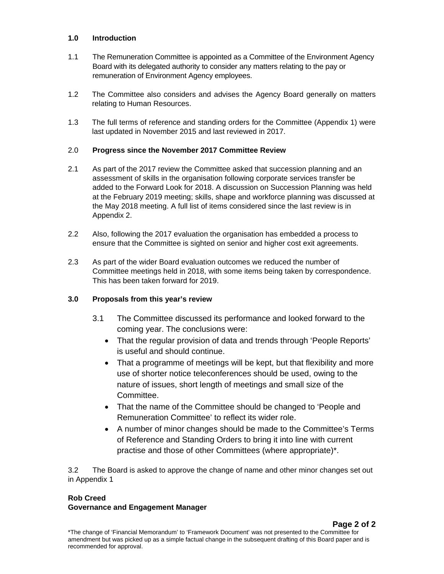#### **1.0 Introduction**

- 1.1 The Remuneration Committee is appointed as a Committee of the Environment Agency Board with its delegated authority to consider any matters relating to the pay or remuneration of Environment Agency employees.
- 1.2 The Committee also considers and advises the Agency Board generally on matters relating to Human Resources.
- 1.3 The full terms of reference and standing orders for the Committee (Appendix 1) were last updated in November 2015 and last reviewed in 2017.

#### 2.0 **Progress since the November 2017 Committee Review**

- 2.1 As part of the 2017 review the Committee asked that succession planning and an assessment of skills in the organisation following corporate services transfer be added to the Forward Look for 2018. A discussion on Succession Planning was held at the February 2019 meeting; skills, shape and workforce planning was discussed at the May 2018 meeting. A full list of items considered since the last review is in Appendix 2.
- 2.2 Also, following the 2017 evaluation the organisation has embedded a process to ensure that the Committee is sighted on senior and higher cost exit agreements.
- 2.3 As part of the wider Board evaluation outcomes we reduced the number of Committee meetings held in 2018, with some items being taken by correspondence. This has been taken forward for 2019.

#### **3.0 Proposals from this year's review**

- 3.1 The Committee discussed its performance and looked forward to the coming year. The conclusions were:
	- That the regular provision of data and trends through 'People Reports' is useful and should continue.
	- That a programme of meetings will be kept, but that flexibility and more use of shorter notice teleconferences should be used, owing to the nature of issues, short length of meetings and small size of the Committee.
	- That the name of the Committee should be changed to 'People and Remuneration Committee' to reflect its wider role.
	- A number of minor changes should be made to the Committee's Terms of Reference and Standing Orders to bring it into line with current practise and those of other Committees (where appropriate)\*.

3.2 The Board is asked to approve the change of name and other minor changes set out in Appendix 1

#### **Rob Creed**

#### **Governance and Engagement Manager**

**Page 2 of 2** \*The change of 'Financial Memorandum' to 'Framework Document' was not presented to the Committee for amendment but was picked up as a simple factual change in the subsequent drafting of this Board paper and is recommended for approval.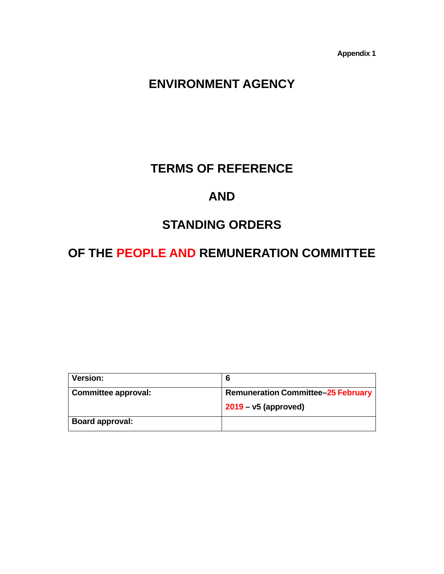**Appendix 1** 

# **ENVIRONMENT AGENCY**

# **TERMS OF REFERENCE**

# **AND**

# **STANDING ORDERS**

# **OF THE PEOPLE AND REMUNERATION COMMITTEE**

| <b>Version:</b>        | 6                                         |  |
|------------------------|-------------------------------------------|--|
| Committee approval:    | <b>Remuneration Committee-25 February</b> |  |
|                        | $2019 - v5$ (approved)                    |  |
| <b>Board approval:</b> |                                           |  |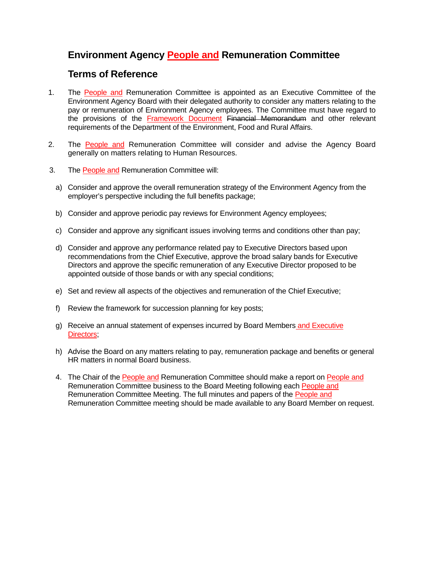# **Environment Agency People and Remuneration Committee**

### **Terms of Reference**

- 1. The People and Remuneration Committee is appointed as an Executive Committee of the Environment Agency Board with their delegated authority to consider any matters relating to the pay or remuneration of Environment Agency employees. The Committee must have regard to the provisions of the Framework Document Financial Memorandum and other relevant requirements of the Department of the Environment, Food and Rural Affairs.
- 2. The People and Remuneration Committee will consider and advise the Agency Board generally on matters relating to Human Resources.
- 3. The People and Remuneration Committee will:
	- a) Consider and approve the overall remuneration strategy of the Environment Agency from the employer's perspective including the full benefits package;
	- b) Consider and approve periodic pay reviews for Environment Agency employees;
	- c) Consider and approve any significant issues involving terms and conditions other than pay;
	- d) Consider and approve any performance related pay to Executive Directors based upon recommendations from the Chief Executive, approve the broad salary bands for Executive Directors and approve the specific remuneration of any Executive Director proposed to be appointed outside of those bands or with any special conditions;
	- e) Set and review all aspects of the objectives and remuneration of the Chief Executive;
	- f) Review the framework for succession planning for key posts;
	- g) Receive an annual statement of expenses incurred by Board Members and Executive Directors;
	- h) Advise the Board on any matters relating to pay, remuneration package and benefits or general HR matters in normal Board business.
	- 4. The Chair of the People and Remuneration Committee should make a report on People and Remuneration Committee business to the Board Meeting following each People and Remuneration Committee Meeting. The full minutes and papers of the People and Remuneration Committee meeting should be made available to any Board Member on request.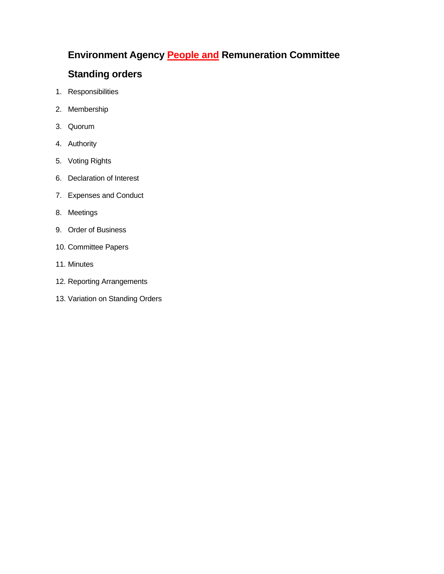# **Environment Agency People and Remuneration Committee**

# **Standing orders**

- 1. Responsibilities
- 2. Membership
- 3. Quorum
- 4. Authority
- 5. Voting Rights
- 6. Declaration of Interest
- 7. Expenses and Conduct
- 8. Meetings
- 9. Order of Business
- 10. Committee Papers
- 11. Minutes
- 12. Reporting Arrangements
- 13. Variation on Standing Orders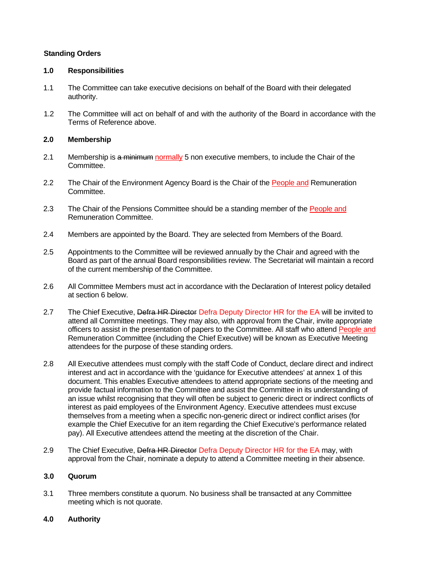#### **Standing Orders**

#### **1.0 Responsibilities**

- 1.1 The Committee can take executive decisions on behalf of the Board with their delegated authority.
- 1.2 The Committee will act on behalf of and with the authority of the Board in accordance with the Terms of Reference above.

#### **2.0 Membership**

- 2.1 Membership is a minimum normally 5 non executive members, to include the Chair of the Committee.
- 2.2 The Chair of the Environment Agency Board is the Chair of the People and Remuneration Committee.
- 2.3 The Chair of the Pensions Committee should be a standing member of the People and Remuneration Committee.
- 2.4 Members are appointed by the Board. They are selected from Members of the Board.
- 2.5 Appointments to the Committee will be reviewed annually by the Chair and agreed with the Board as part of the annual Board responsibilities review. The Secretariat will maintain a record of the current membership of the Committee.
- 2.6 All Committee Members must act in accordance with the Declaration of Interest policy detailed at section 6 below.
- 2.7 The Chief Executive, Defra HR Director Defra Deputy Director HR for the EA will be invited to attend all Committee meetings. They may also, with approval from the Chair, invite appropriate officers to assist in the presentation of papers to the Committee. All staff who attend People and Remuneration Committee (including the Chief Executive) will be known as Executive Meeting attendees for the purpose of these standing orders.
- 2.8 All Executive attendees must comply with the staff Code of Conduct, declare direct and indirect interest and act in accordance with the 'guidance for Executive attendees' at annex 1 of this document. This enables Executive attendees to attend appropriate sections of the meeting and provide factual information to the Committee and assist the Committee in its understanding of an issue whilst recognising that they will often be subject to generic direct or indirect conflicts of interest as paid employees of the Environment Agency. Executive attendees must excuse themselves from a meeting when a specific non-generic direct or indirect conflict arises (for example the Chief Executive for an item regarding the Chief Executive's performance related pay). All Executive attendees attend the meeting at the discretion of the Chair.
- 2.9 The Chief Executive, Defra HR Director Defra Deputy Director HR for the EA may, with approval from the Chair, nominate a deputy to attend a Committee meeting in their absence.

#### **3.0 Quorum**

3.1 Three members constitute a quorum. No business shall be transacted at any Committee meeting which is not quorate.

#### **4.0 Authority**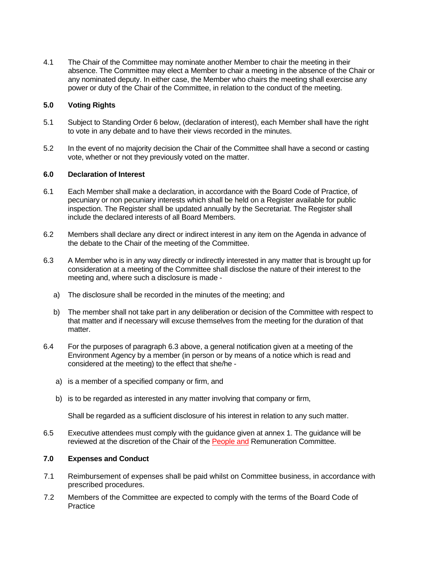4.1 The Chair of the Committee may nominate another Member to chair the meeting in their absence. The Committee may elect a Member to chair a meeting in the absence of the Chair or any nominated deputy. In either case, the Member who chairs the meeting shall exercise any power or duty of the Chair of the Committee, in relation to the conduct of the meeting.

#### **5.0 Voting Rights**

- 5.1 Subject to Standing Order 6 below, (declaration of interest), each Member shall have the right to vote in any debate and to have their views recorded in the minutes.
- 5.2 In the event of no majority decision the Chair of the Committee shall have a second or casting vote, whether or not they previously voted on the matter.

#### **6.0 Declaration of Interest**

- 6.1 Each Member shall make a declaration, in accordance with the Board Code of Practice, of pecuniary or non pecuniary interests which shall be held on a Register available for public inspection. The Register shall be updated annually by the Secretariat. The Register shall include the declared interests of all Board Members.
- 6.2 Members shall declare any direct or indirect interest in any item on the Agenda in advance of the debate to the Chair of the meeting of the Committee.
- 6.3 A Member who is in any way directly or indirectly interested in any matter that is brought up for consideration at a meeting of the Committee shall disclose the nature of their interest to the meeting and, where such a disclosure is made
	- a) The disclosure shall be recorded in the minutes of the meeting; and
	- b) The member shall not take part in any deliberation or decision of the Committee with respect to that matter and if necessary will excuse themselves from the meeting for the duration of that matter.
- 6.4 For the purposes of paragraph 6.3 above, a general notification given at a meeting of the Environment Agency by a member (in person or by means of a notice which is read and considered at the meeting) to the effect that she/he
	- a) is a member of a specified company or firm, and
	- b) is to be regarded as interested in any matter involving that company or firm,

Shall be regarded as a sufficient disclosure of his interest in relation to any such matter.

6.5 Executive attendees must comply with the guidance given at annex 1. The guidance will be reviewed at the discretion of the Chair of the People and Remuneration Committee.

#### **7.0 Expenses and Conduct**

- 7.1 Reimbursement of expenses shall be paid whilst on Committee business, in accordance with prescribed procedures.
- 7.2 Members of the Committee are expected to comply with the terms of the Board Code of **Practice**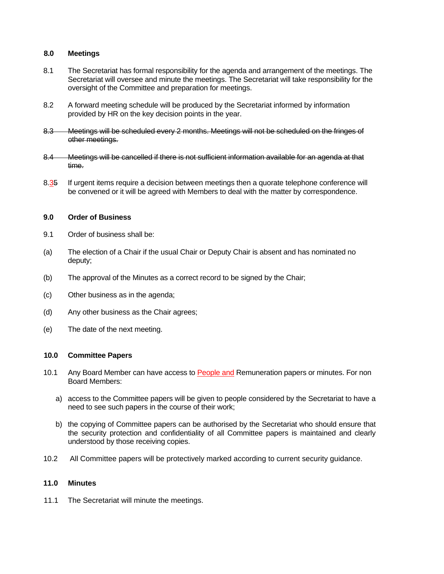#### **8.0 Meetings**

- 8.1 The Secretariat has formal responsibility for the agenda and arrangement of the meetings. The Secretariat will oversee and minute the meetings. The Secretariat will take responsibility for the oversight of the Committee and preparation for meetings.
- 8.2 A forward meeting schedule will be produced by the Secretariat informed by information provided by HR on the key decision points in the year.
- 8.3 Meetings will be scheduled every 2 months. Meetings will not be scheduled on the fringes of other meetings.
- 8.4 Meetings will be cancelled if there is not sufficient information available for an agenda at that time.
- 8.35 If urgent items require a decision between meetings then a quorate telephone conference will be convened or it will be agreed with Members to deal with the matter by correspondence.

#### **9.0 Order of Business**

- 9.1 Order of business shall be:
- (a) The election of a Chair if the usual Chair or Deputy Chair is absent and has nominated no deputy;
- (b) The approval of the Minutes as a correct record to be signed by the Chair;
- (c) Other business as in the agenda;
- (d) Any other business as the Chair agrees;
- (e) The date of the next meeting.

#### **10.0 Committee Papers**

- 10.1 Any Board Member can have access to People and Remuneration papers or minutes. For non Board Members:
	- a) access to the Committee papers will be given to people considered by the Secretariat to have a need to see such papers in the course of their work;
	- b) the copying of Committee papers can be authorised by the Secretariat who should ensure that the security protection and confidentiality of all Committee papers is maintained and clearly understood by those receiving copies.
- 10.2 All Committee papers will be protectively marked according to current security guidance.

#### **11.0 Minutes**

11.1 The Secretariat will minute the meetings.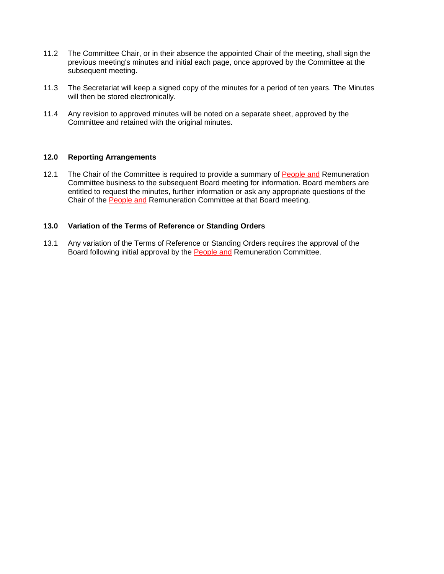- 11.2 The Committee Chair, or in their absence the appointed Chair of the meeting, shall sign the previous meeting's minutes and initial each page, once approved by the Committee at the subsequent meeting.
- 11.3 The Secretariat will keep a signed copy of the minutes for a period of ten years. The Minutes will then be stored electronically.
- 11.4 Any revision to approved minutes will be noted on a separate sheet, approved by the Committee and retained with the original minutes.

#### **12.0 Reporting Arrangements**

12.1 The Chair of the Committee is required to provide a summary of People and Remuneration Committee business to the subsequent Board meeting for information. Board members are entitled to request the minutes, further information or ask any appropriate questions of the Chair of the People and Remuneration Committee at that Board meeting.

#### **13.0 Variation of the Terms of Reference or Standing Orders**

13.1 Any variation of the Terms of Reference or Standing Orders requires the approval of the Board following initial approval by the People and Remuneration Committee.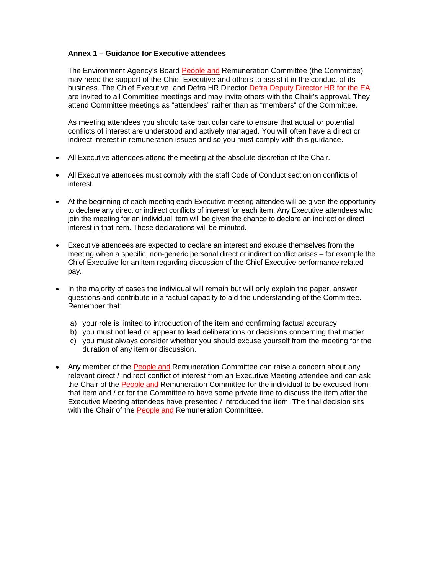#### **Annex 1 – Guidance for Executive attendees**

The Environment Agency's Board People and Remuneration Committee (the Committee) may need the support of the Chief Executive and others to assist it in the conduct of its business. The Chief Executive, and Defra HR Director Defra Deputy Director HR for the EA are invited to all Committee meetings and may invite others with the Chair's approval. They attend Committee meetings as "attendees" rather than as "members" of the Committee.

As meeting attendees you should take particular care to ensure that actual or potential conflicts of interest are understood and actively managed. You will often have a direct or indirect interest in remuneration issues and so you must comply with this guidance.

- All Executive attendees attend the meeting at the absolute discretion of the Chair.
- All Executive attendees must comply with the staff Code of Conduct section on conflicts of interest.
- At the beginning of each meeting each Executive meeting attendee will be given the opportunity to declare any direct or indirect conflicts of interest for each item. Any Executive attendees who join the meeting for an individual item will be given the chance to declare an indirect or direct interest in that item. These declarations will be minuted.
- Executive attendees are expected to declare an interest and excuse themselves from the meeting when a specific, non-generic personal direct or indirect conflict arises – for example the Chief Executive for an item regarding discussion of the Chief Executive performance related pay.
- In the majority of cases the individual will remain but will only explain the paper, answer questions and contribute in a factual capacity to aid the understanding of the Committee. Remember that:
	- a) your role is limited to introduction of the item and confirming factual accuracy
	- b) you must not lead or appear to lead deliberations or decisions concerning that matter
	- c) you must always consider whether you should excuse yourself from the meeting for the duration of any item or discussion.
- Any member of the People and Remuneration Committee can raise a concern about any relevant direct / indirect conflict of interest from an Executive Meeting attendee and can ask the Chair of the People and Remuneration Committee for the individual to be excused from that item and / or for the Committee to have some private time to discuss the item after the Executive Meeting attendees have presented / introduced the item. The final decision sits with the Chair of the People and Remuneration Committee.